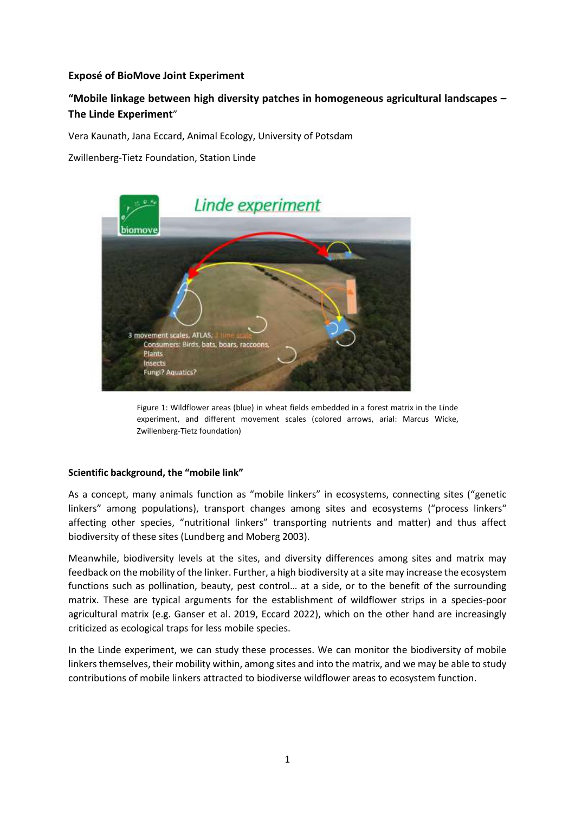# **Exposé of BioMove Joint Experiment**

# **"Mobile linkage between high diversity patches in homogeneous agricultural landscapes – The Linde Experiment**"

Vera Kaunath, Jana Eccard, Animal Ecology, University of Potsdam

Zwillenberg-Tietz Foundation, Station Linde



Figure 1: Wildflower areas (blue) in wheat fields embedded in a forest matrix in the Linde experiment, and different movement scales (colored arrows, arial: Marcus Wicke, Zwillenberg-Tietz foundation)

## **Scientific background, the "mobile link"**

As a concept, many animals function as "mobile linkers" in ecosystems, connecting sites ("genetic linkers" among populations), transport changes among sites and ecosystems ("process linkers" affecting other species, "nutritional linkers" transporting nutrients and matter) and thus affect biodiversity of these sites (Lundberg and Moberg 2003).

Meanwhile, biodiversity levels at the sites, and diversity differences among sites and matrix may feedback on the mobility of the linker. Further, a high biodiversity at a site may increase the ecosystem functions such as pollination, beauty, pest control… at a side, or to the benefit of the surrounding matrix. These are typical arguments for the establishment of wildflower strips in a species-poor agricultural matrix (e.g. Ganser et al. 2019, Eccard 2022), which on the other hand are increasingly criticized as ecological traps for less mobile species.

In the Linde experiment, we can study these processes. We can monitor the biodiversity of mobile linkers themselves, their mobility within, among sites and into the matrix, and we may be able to study contributions of mobile linkers attracted to biodiverse wildflower areas to ecosystem function.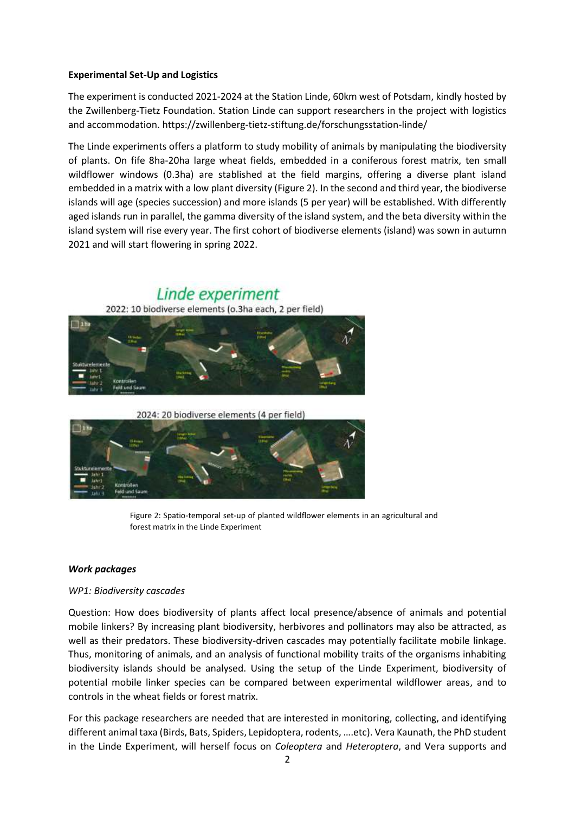## **Experimental Set-Up and Logistics**

The experiment is conducted 2021-2024 at the Station Linde, 60km west of Potsdam, kindly hosted by the Zwillenberg-Tietz Foundation. Station Linde can support researchers in the project with logistics and accommodation. https://zwillenberg-tietz-stiftung.de/forschungsstation-linde/

The Linde experiments offers a platform to study mobility of animals by manipulating the biodiversity of plants. On fife 8ha-20ha large wheat fields, embedded in a coniferous forest matrix, ten small wildflower windows (0.3ha) are stablished at the field margins, offering a diverse plant island embedded in a matrix with a low plant diversity (Figure 2). In the second and third year, the biodiverse islands will age (species succession) and more islands (5 per year) will be established. With differently aged islands run in parallel, the gamma diversity of the island system, and the beta diversity within the island system will rise every year. The first cohort of biodiverse elements (island) was sown in autumn 2021 and will start flowering in spring 2022.

Linde experiment



2024: 20 biodiverse elements (4 per field)



Figure 2: Spatio-temporal set-up of planted wildflower elements in an agricultural and forest matrix in the Linde Experiment

#### *Work packages*

#### *WP1: Biodiversity cascades*

Question: How does biodiversity of plants affect local presence/absence of animals and potential mobile linkers? By increasing plant biodiversity, herbivores and pollinators may also be attracted, as well as their predators. These biodiversity-driven cascades may potentially facilitate mobile linkage. Thus, monitoring of animals, and an analysis of functional mobility traits of the organisms inhabiting biodiversity islands should be analysed. Using the setup of the Linde Experiment, biodiversity of potential mobile linker species can be compared between experimental wildflower areas, and to controls in the wheat fields or forest matrix.

For this package researchers are needed that are interested in monitoring, collecting, and identifying different animal taxa (Birds, Bats, Spiders, Lepidoptera, rodents, ….etc). Vera Kaunath, the PhD student in the Linde Experiment, will herself focus on *Coleoptera* and *Heteroptera*, and Vera supports and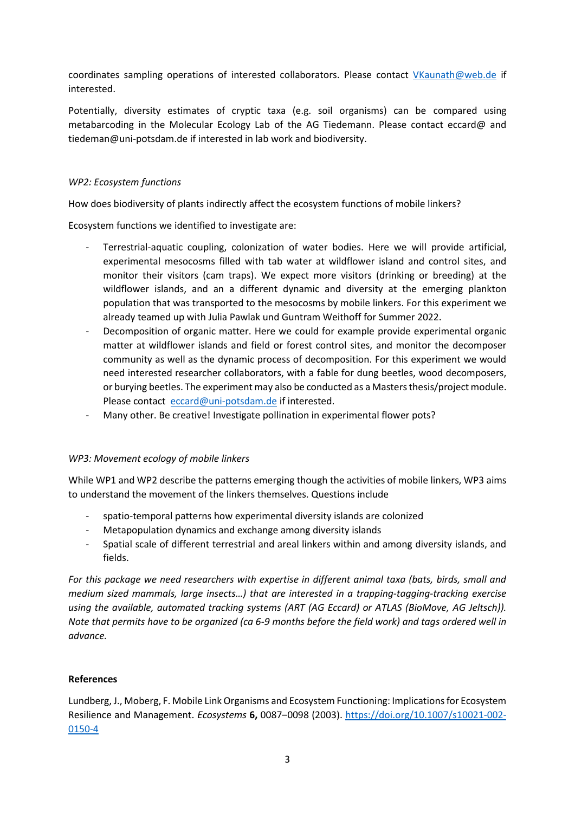coordinates sampling operations of interested collaborators. Please contact [VKaunath@web.de](mailto:VKaunath@web.de) if interested.

Potentially, diversity estimates of cryptic taxa (e.g. soil organisms) can be compared using metabarcoding in the Molecular Ecology Lab of the AG Tiedemann. Please contact eccard@ and tiedeman@uni-potsdam.de if interested in lab work and biodiversity.

## *WP2: Ecosystem functions*

How does biodiversity of plants indirectly affect the ecosystem functions of mobile linkers?

Ecosystem functions we identified to investigate are:

- Terrestrial-aquatic coupling, colonization of water bodies. Here we will provide artificial, experimental mesocosms filled with tab water at wildflower island and control sites, and monitor their visitors (cam traps). We expect more visitors (drinking or breeding) at the wildflower islands, and an a different dynamic and diversity at the emerging plankton population that was transported to the mesocosms by mobile linkers. For this experiment we already teamed up with Julia Pawlak und Guntram Weithoff for Summer 2022.
- Decomposition of organic matter. Here we could for example provide experimental organic matter at wildflower islands and field or forest control sites, and monitor the decomposer community as well as the dynamic process of decomposition. For this experiment we would need interested researcher collaborators, with a fable for dung beetles, wood decomposers, or burying beetles. The experiment may also be conducted as a Masters thesis/project module. Please contact [eccard@uni-potsdam.de](mailto:eccard@uni-potsdam.de) if interested.
- Many other. Be creative! Investigate pollination in experimental flower pots?

## *WP3: Movement ecology of mobile linkers*

While WP1 and WP2 describe the patterns emerging though the activities of mobile linkers, WP3 aims to understand the movement of the linkers themselves. Questions include

- spatio-temporal patterns how experimental diversity islands are colonized
- Metapopulation dynamics and exchange among diversity islands
- Spatial scale of different terrestrial and areal linkers within and among diversity islands, and fields.

*For this package we need researchers with expertise in different animal taxa (bats, birds, small and medium sized mammals, large insects…) that are interested in a trapping-tagging-tracking exercise using the available, automated tracking systems (ART (AG Eccard) or ATLAS (BioMove, AG Jeltsch)). Note that permits have to be organized (ca 6-9 months before the field work) and tags ordered well in advance.*

# **References**

Lundberg, J., Moberg, F. Mobile Link Organisms and Ecosystem Functioning: Implications for Ecosystem Resilience and Management. *Ecosystems* **6,** 0087–0098 (2003). [https://doi.org/10.1007/s10021-002-](https://doi.org/10.1007/s10021-002-0150-4) [0150-4](https://doi.org/10.1007/s10021-002-0150-4)